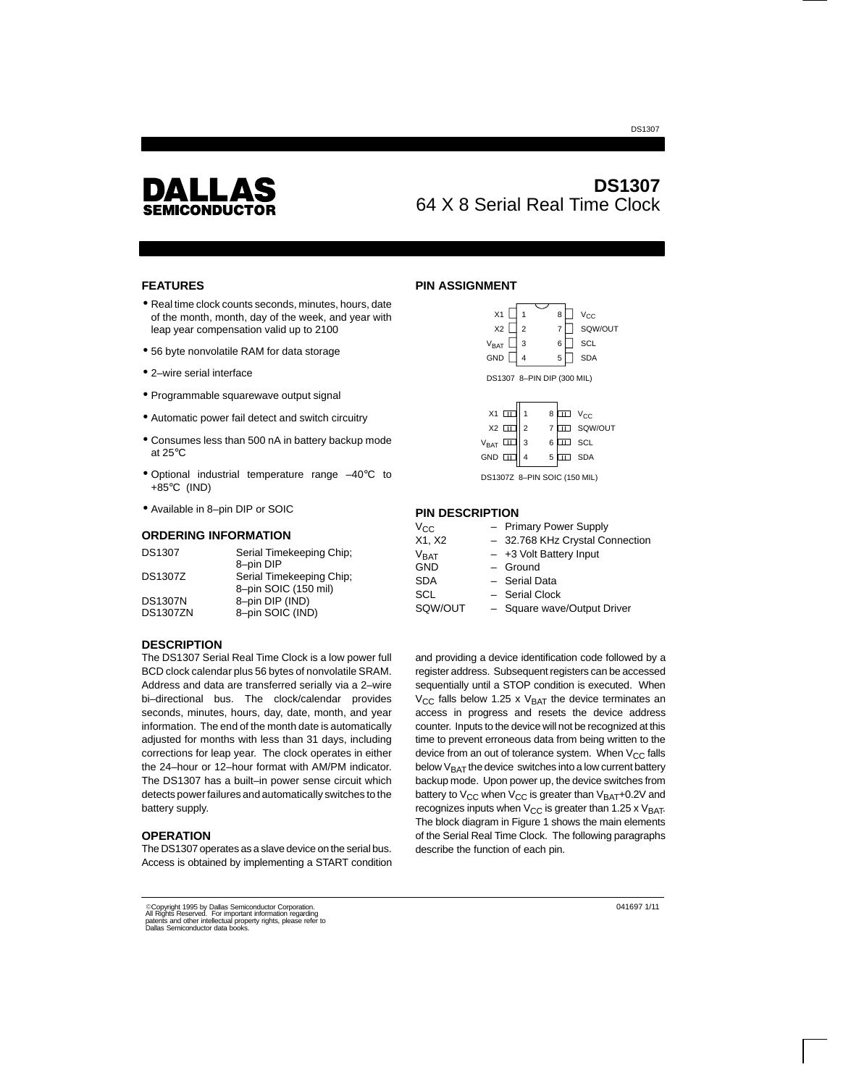

# **DS1307** 64 X 8 Serial Real Time Clock

DS1307

#### **FEATURES**

- Real time clock counts seconds, minutes, hours, date of the month, month, day of the week, and year with leap year compensation valid up to 2100
- 56 byte nonvolatile RAM for data storage
- 2–wire serial interface
- Programmable squarewave output signal
- Automatic power fail detect and switch circuitry
- Consumes less than 500 nA in battery backup mode at 25°C
- Optional industrial temperature range –40°C to +85°C (IND)
- Available in 8–pin DIP or SOIC

#### **ORDERING INFORMATION**

| <b>DS1307</b>   | Serial Timekeeping Chip;              |
|-----------------|---------------------------------------|
| <b>DS1307Z</b>  | 8-pin DIP<br>Serial Timekeeping Chip; |
|                 | 8-pin SOIC (150 mil)                  |
| <b>DS1307N</b>  | 8-pin DIP (IND)                       |
| <b>DS1307ZN</b> | 8-pin SOIC (IND)                      |

## **PIN ASSIGNMENT**

| X1                               | 8      | $V_{\text{CC}}$ |
|----------------------------------|--------|-----------------|
| X <sub>2</sub><br>$\overline{2}$ | 7      | SQW/OUT         |
| <b>V<sub>BAT</sub></b><br>3      | 6      | <b>SCL</b>      |
| GND                              | 5<br>4 | <b>SDA</b>      |
| DS1307 8-PIN DIP (300 MIL)       |        |                 |
| X <sub>1</sub>                   | 8      | Vcc             |

| $X1 \Box 1$ 1 |                | $8 \Box\Box$ $V_{CC}$ |               |
|---------------|----------------|-----------------------|---------------|
| $X2 \Box$     | $\overline{2}$ |                       | 7 III SQW/OUT |
| $V_{BAT}$     | 3              | $6 \Box\Box$ SCL      |               |
| $GND \Box$    |                | 5                     | $\Box$ SDA    |

DS1307Z 8–PIN SOIC (150 MIL)

#### **PIN DESCRIPTION**

| $V_{\rm CC}$     | - Primary Power Supply          |
|------------------|---------------------------------|
| X1, X2           | - 32.768 KHz Crystal Connection |
| V <sub>BAT</sub> | $-$ +3 Volt Battery Input       |
| <b>GND</b>       | $-$ Ground                      |
| <b>SDA</b>       | - Serial Data                   |
| SCL              | - Serial Clock                  |
| SQW/OUT          | - Square wave/Output Driver     |
|                  |                                 |

#### **DESCRIPTION**

The DS1307 Serial Real Time Clock is a low power full BCD clock calendar plus 56 bytes of nonvolatile SRAM. Address and data are transferred serially via a 2–wire bi–directional bus. The clock/calendar provides seconds, minutes, hours, day, date, month, and year information. The end of the month date is automatically adjusted for months with less than 31 days, including corrections for leap year. The clock operates in either the 24–hour or 12–hour format with AM/PM indicator. The DS1307 has a built–in power sense circuit which detects power failures and automatically switches to the battery supply.

#### **OPERATION**

The DS1307 operates as a slave device on the serial bus. Access is obtained by implementing a START condition

and providing a device identification code followed by a register address. Subsequent registers can be accessed sequentially until a STOP condition is executed. When  $V_{CC}$  falls below 1.25 x  $V_{BAT}$  the device terminates an access in progress and resets the device address counter. Inputs to the device will not be recognized at this time to prevent erroneous data from being written to the device from an out of tolerance system. When  $V_{CC}$  falls below  $V_{BAT}$  the device switches into a low current battery backup mode. Upon power up, the device switches from battery to  $V_{CC}$  when  $V_{CC}$  is greater than  $V_{BAT}$ +0.2V and recognizes inputs when  $V_{CC}$  is greater than 1.25 x  $V_{BAT}$ . The block diagram in Figure 1 shows the main elements of the Serial Real Time Clock. The following paragraphs describe the function of each pin.

041697 1/11

©Copyright 1995 by Dallas Semiconductor Corporation.<br>All Rights Reserved. For important information regarding<br>patents and other intellectual property rights, please refer to<br>Dallas Semiconductor data books.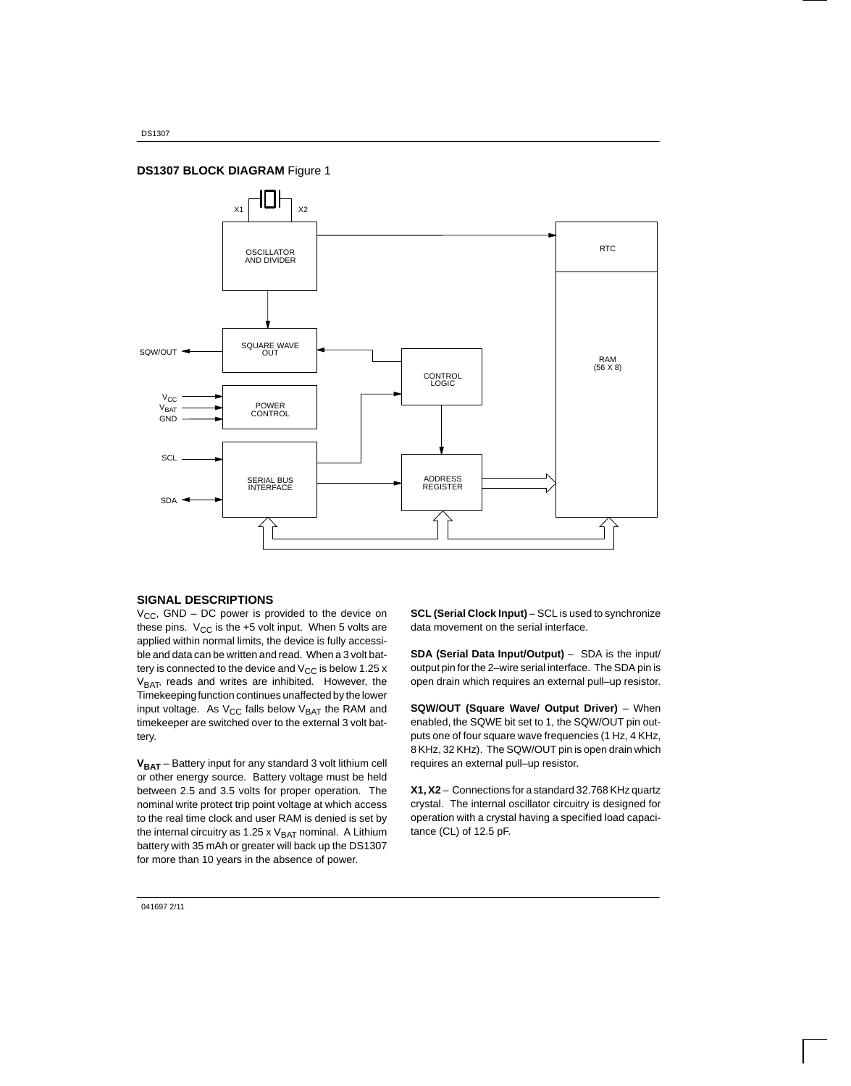## **DS1307 BLOCK DIAGRAM** Figure 1



#### **SIGNAL DESCRIPTIONS**

 $V_{CC}$ , GND – DC power is provided to the device on these pins.  $V_{CC}$  is the +5 volt input. When 5 volts are applied within normal limits, the device is fully accessible and data can be written and read. When a 3 volt battery is connected to the device and  $V_{CC}$  is below 1.25 x V<sub>BAT</sub>, reads and writes are inhibited. However, the Timekeeping function continues unaffected by the lower input voltage. As  $V_{CC}$  falls below  $V_{BAT}$  the RAM and timekeeper are switched over to the external 3 volt battery.

**VBAT** – Battery input for any standard 3 volt lithium cell or other energy source. Battery voltage must be held between 2.5 and 3.5 volts for proper operation. The nominal write protect trip point voltage at which access to the real time clock and user RAM is denied is set by the internal circuitry as 1.25 x  $V_{BAT}$  nominal. A Lithium battery with 35 mAh or greater will back up the DS1307 for more than 10 years in the absence of power.

**SCL (Serial Clock Input)** – SCL is used to synchronize data movement on the serial interface.

**SDA (Serial Data Input/Output)** – SDA is the input/ output pin for the 2–wire serial interface. The SDA pin is open drain which requires an external pull–up resistor.

**SQW/OUT (Square Wave/ Output Driver)** – When enabled, the SQWE bit set to 1, the SQW/OUT pin outputs one of four square wave frequencies (1 Hz, 4 KHz, 8 KHz, 32 KHz). The SQW/OUT pin is open drain which requires an external pull–up resistor.

**X1, X2** – Connections for a standard 32.768 KHz quartz crystal. The internal oscillator circuitry is designed for operation with a crystal having a specified load capacitance (CL) of 12.5 pF.

041697 2/11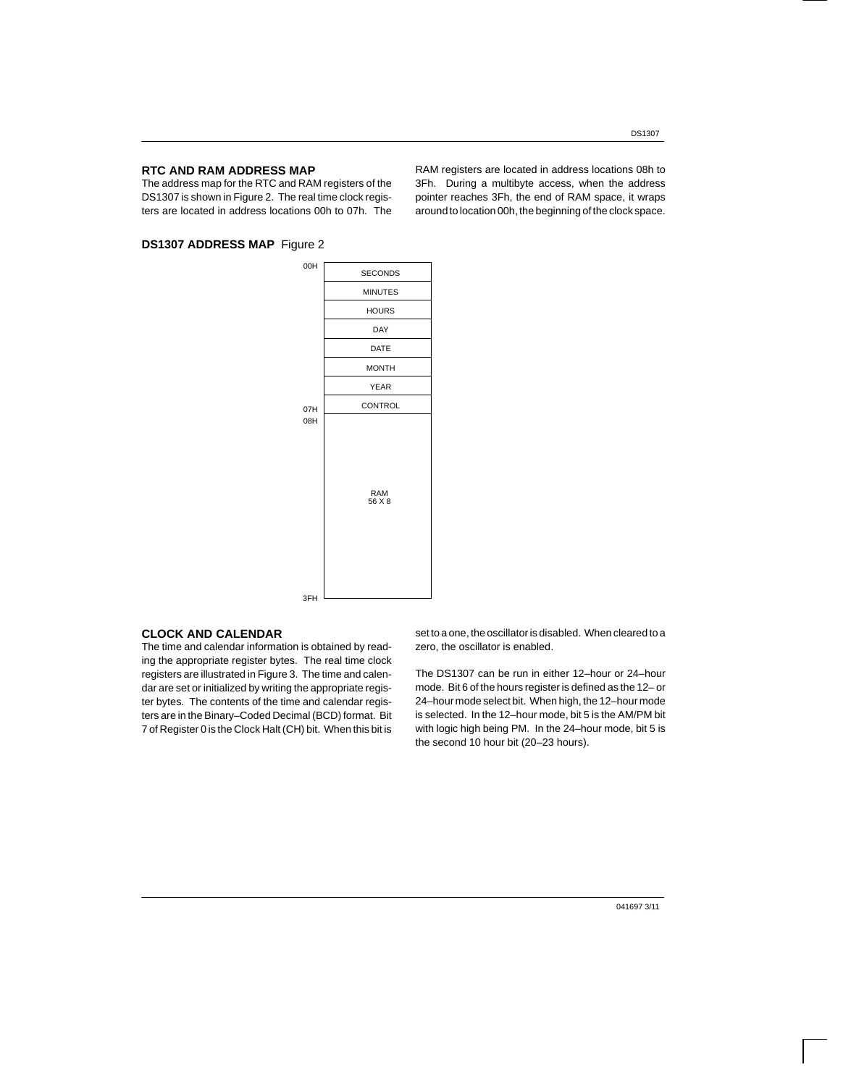#### **RTC AND RAM ADDRESS MAP**

The address map for the RTC and RAM registers of the DS1307 is shown in Figure 2. The real time clock registers are located in address locations 00h to 07h. The

## **DS1307 ADDRESS MAP** Figure 2

SECONDS MINUTES HOURS DAY DATE MONTH YEAR CONTROL RAM 56 X 8 00H 07H 08H 3FH

### **CLOCK AND CALENDAR**

The time and calendar information is obtained by reading the appropriate register bytes. The real time clock registers are illustrated in Figure 3. The time and calendar are set or initialized by writing the appropriate register bytes. The contents of the time and calendar registers are in the Binary–Coded Decimal (BCD) format. Bit 7 of Register 0 is the Clock Halt (CH) bit. When this bit is set to a one, the oscillator is disabled. When cleared to a zero, the oscillator is enabled.

The DS1307 can be run in either 12–hour or 24–hour mode. Bit 6 of the hours register is defined as the 12– or 24–hour mode select bit. When high, the 12–hour mode is selected. In the 12–hour mode, bit 5 is the AM/PM bit with logic high being PM. In the 24–hour mode, bit 5 is the second 10 hour bit (20–23 hours).

RAM registers are located in address locations 08h to 3Fh. During a multibyte access, when the address pointer reaches 3Fh, the end of RAM space, it wraps around to location 00h, the beginning of the clock space.

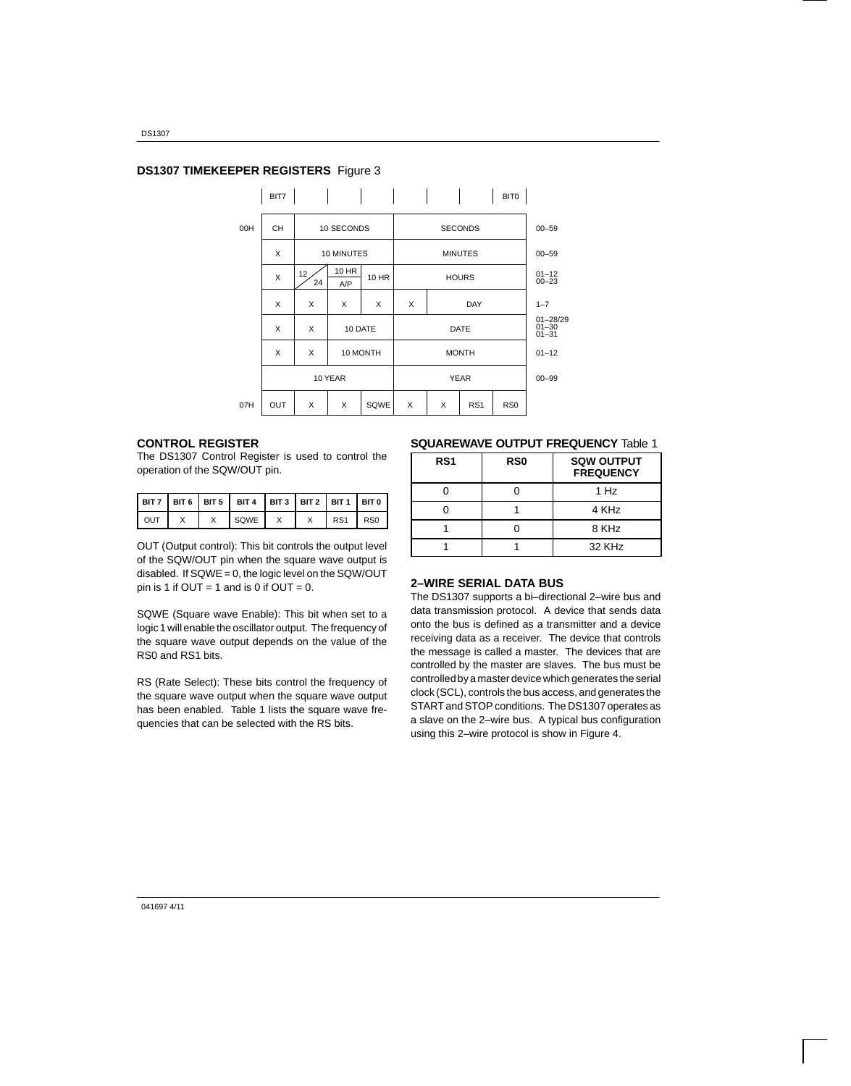## **DS1307 TIMEKEEPER REGISTERS** Figure 3

| $00 - 59$                              |
|----------------------------------------|
|                                        |
| $00 - 59$                              |
| $01 - 12$<br>$00 - 23$                 |
| $1 - 7$                                |
| $01 - 28/29$<br>$01 - 30$<br>$01 - 31$ |
| $01 - 12$                              |
| $00 - 99$                              |
|                                        |
|                                        |

#### **CONTROL REGISTER**

The DS1307 Control Register is used to control the operation of the SQW/OUT pin.

|       |              | ВІТ 7   ВІТ 6   ВІТ 5   ВІТ 4   ВІТ 3   ВІТ 2   ВІТ 1   ВІТ 0 |              |           |  |
|-------|--------------|---------------------------------------------------------------|--------------|-----------|--|
| I OUT | $\mathsf{x}$ | x Isqwelx                                                     | $\mathsf{X}$ | $RST$ RS0 |  |

OUT (Output control): This bit controls the output level of the SQW/OUT pin when the square wave output is disabled. If SQWE = 0, the logic level on the SQW/OUT pin is 1 if OUT = 1 and is 0 if OUT = 0.

SQWE (Square wave Enable): This bit when set to a logic 1 will enable the oscillator output. The frequency of the square wave output depends on the value of the RS0 and RS1 bits.

RS (Rate Select): These bits control the frequency of the square wave output when the square wave output has been enabled. Table 1 lists the square wave frequencies that can be selected with the RS bits.

#### **SQUAREWAVE OUTPUT FREQUENCY** Table 1

| RS <sub>1</sub> | R <sub>S0</sub> | <b>SQW OUTPUT</b><br><b>FREQUENCY</b> |
|-----------------|-----------------|---------------------------------------|
|                 |                 | 1 Hz                                  |
|                 |                 | 4 KHz                                 |
|                 |                 | 8 KHz                                 |
|                 |                 | 32 KHz                                |

#### **2–WIRE SERIAL DATA BUS**

The DS1307 supports a bi–directional 2–wire bus and data transmission protocol. A device that sends data onto the bus is defined as a transmitter and a device receiving data as a receiver. The device that controls the message is called a master. The devices that are controlled by the master are slaves. The bus must be controlled by a master device which generates the serial clock (SCL), controls the bus access, and generates the START and STOP conditions. The DS1307 operates as a slave on the 2–wire bus. A typical bus configuration using this 2–wire protocol is show in Figure 4.

041697 4/11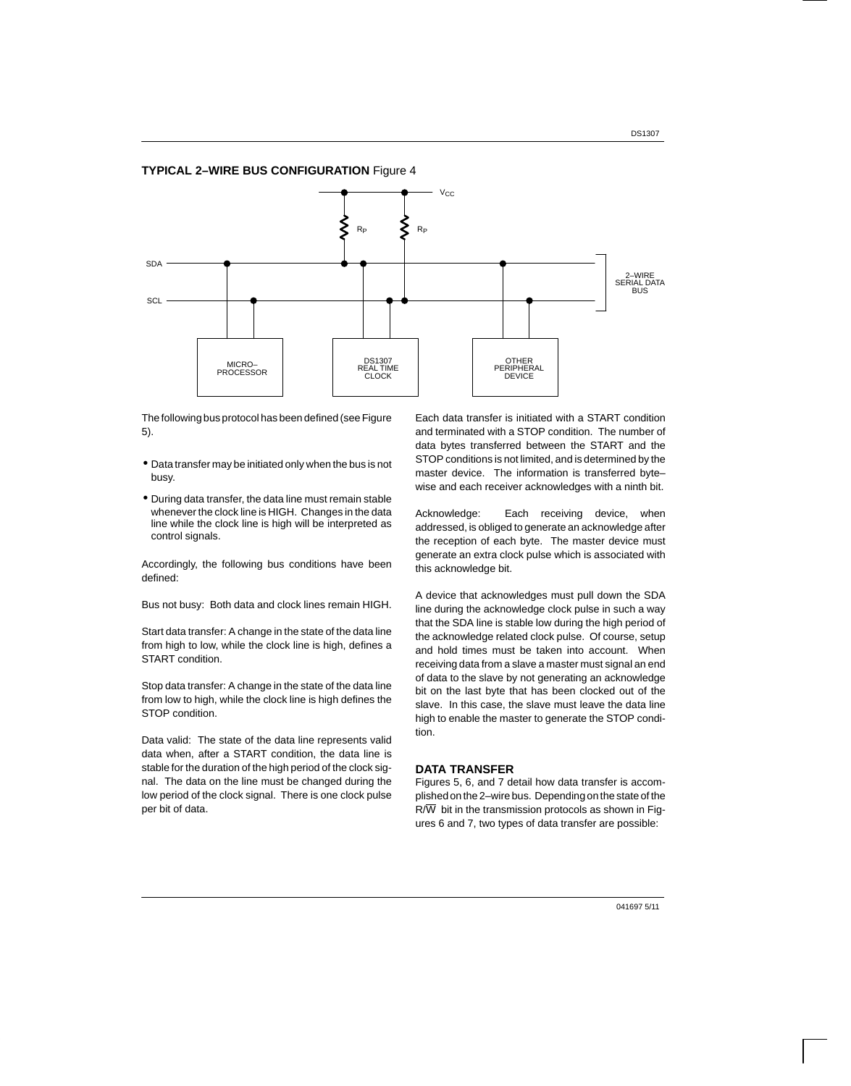#### **TYPICAL 2–WIRE BUS CONFIGURATION** Figure 4



The following bus protocol has been defined (see Figure 5).

- Data transfer may be initiated only when the bus is not busy.
- During data transfer, the data line must remain stable whenever the clock line is HIGH. Changes in the data line while the clock line is high will be interpreted as control signals.

Accordingly, the following bus conditions have been defined:

Bus not busy: Both data and clock lines remain HIGH.

Start data transfer: A change in the state of the data line from high to low, while the clock line is high, defines a START condition.

Stop data transfer: A change in the state of the data line from low to high, while the clock line is high defines the STOP condition.

Data valid: The state of the data line represents valid data when, after a START condition, the data line is stable for the duration of the high period of the clock signal. The data on the line must be changed during the low period of the clock signal. There is one clock pulse per bit of data.

Each data transfer is initiated with a START condition and terminated with a STOP condition. The number of data bytes transferred between the START and the STOP conditions is not limited, and is determined by the master device. The information is transferred byte– wise and each receiver acknowledges with a ninth bit.

Acknowledge: Each receiving device, when addressed, is obliged to generate an acknowledge after the reception of each byte. The master device must generate an extra clock pulse which is associated with this acknowledge bit.

A device that acknowledges must pull down the SDA line during the acknowledge clock pulse in such a way that the SDA line is stable low during the high period of the acknowledge related clock pulse. Of course, setup and hold times must be taken into account. When receiving data from a slave a master must signal an end of data to the slave by not generating an acknowledge bit on the last byte that has been clocked out of the slave. In this case, the slave must leave the data line high to enable the master to generate the STOP condition.

#### **DATA TRANSFER**

Figures 5, 6, and 7 detail how data transfer is accomplished on the 2–wire bus. Depending on the state of the  $R/\overline{W}$  bit in the transmission protocols as shown in Figures 6 and 7, two types of data transfer are possible: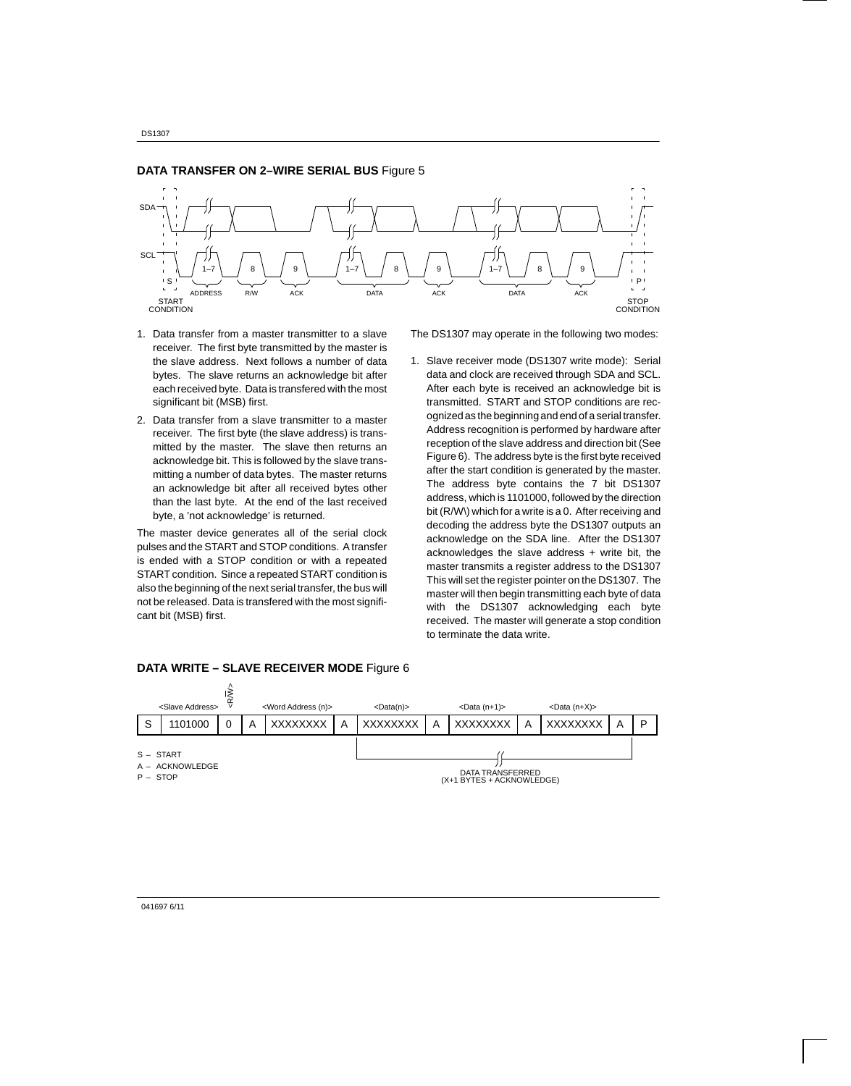

1. Data transfer from a master transmitter to a slave receiver. The first byte transmitted by the master is the slave address. Next follows a number of data bytes. The slave returns an acknowledge bit after each received byte. Data is transfered with the most

significant bit (MSB) first.

2. Data transfer from a slave transmitter to a master receiver. The first byte (the slave address) is transmitted by the master. The slave then returns an acknowledge bit. This is followed by the slave transmitting a number of data bytes. The master returns an acknowledge bit after all received bytes other than the last byte. At the end of the last received byte, a 'not acknowledge' is returned.

The master device generates all of the serial clock pulses and the START and STOP conditions. A transfer is ended with a STOP condition or with a repeated START condition. Since a repeated START condition is also the beginning of the next serial transfer, the bus will not be released. Data is transfered with the most significant bit (MSB) first.

The DS1307 may operate in the following two modes:

1. Slave receiver mode (DS1307 write mode): Serial data and clock are received through SDA and SCL. After each byte is received an acknowledge bit is transmitted. START and STOP conditions are recognized as the beginning and end of a serial transfer. Address recognition is performed by hardware after reception of the slave address and direction bit (See Figure 6). The address byte is the first byte received after the start condition is generated by the master. The address byte contains the 7 bit DS1307 address, which is 1101000, followed by the direction bit (R/W\) which for a write is a 0. After receiving and decoding the address byte the DS1307 outputs an acknowledge on the SDA line. After the DS1307 acknowledges the slave address + write bit, the master transmits a register address to the DS1307 This will set the register pointer on the DS1307. The master will then begin transmitting each byte of data with the DS1307 acknowledging each byte received. The master will generate a stop condition to terminate the data write.



#### **DATA WRITE – SLAVE RECEIVER MODE** Figure 6

041697 6/11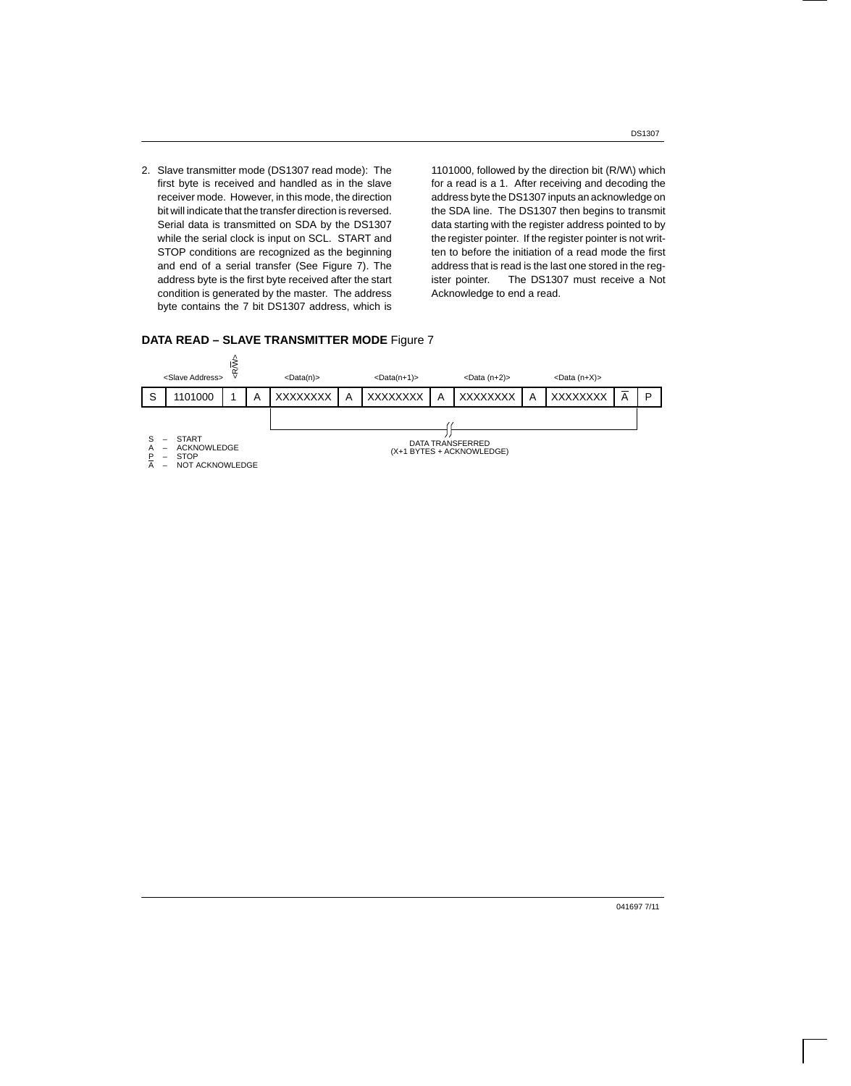2. Slave transmitter mode (DS1307 read mode): The first byte is received and handled as in the slave receiver mode. However, in this mode, the direction bit will indicate that the transfer direction is reversed. Serial data is transmitted on SDA by the DS1307 while the serial clock is input on SCL. START and STOP conditions are recognized as the beginning and end of a serial transfer (See Figure 7). The address byte is the first byte received after the start condition is generated by the master. The address byte contains the 7 bit DS1307 address, which is

1101000, followed by the direction bit (R/W\) which for a read is a 1. After receiving and decoding the address byte the DS1307 inputs an acknowledge on the SDA line. The DS1307 then begins to transmit data starting with the register address pointed to by the register pointer. If the register pointer is not written to before the initiation of a read mode the first address that is read is the last one stored in the register pointer. The DS1307 must receive a Not Acknowledge to end a read.

#### **DATA READ – SLAVE TRANSMITTER MODE** Figure 7



DS1307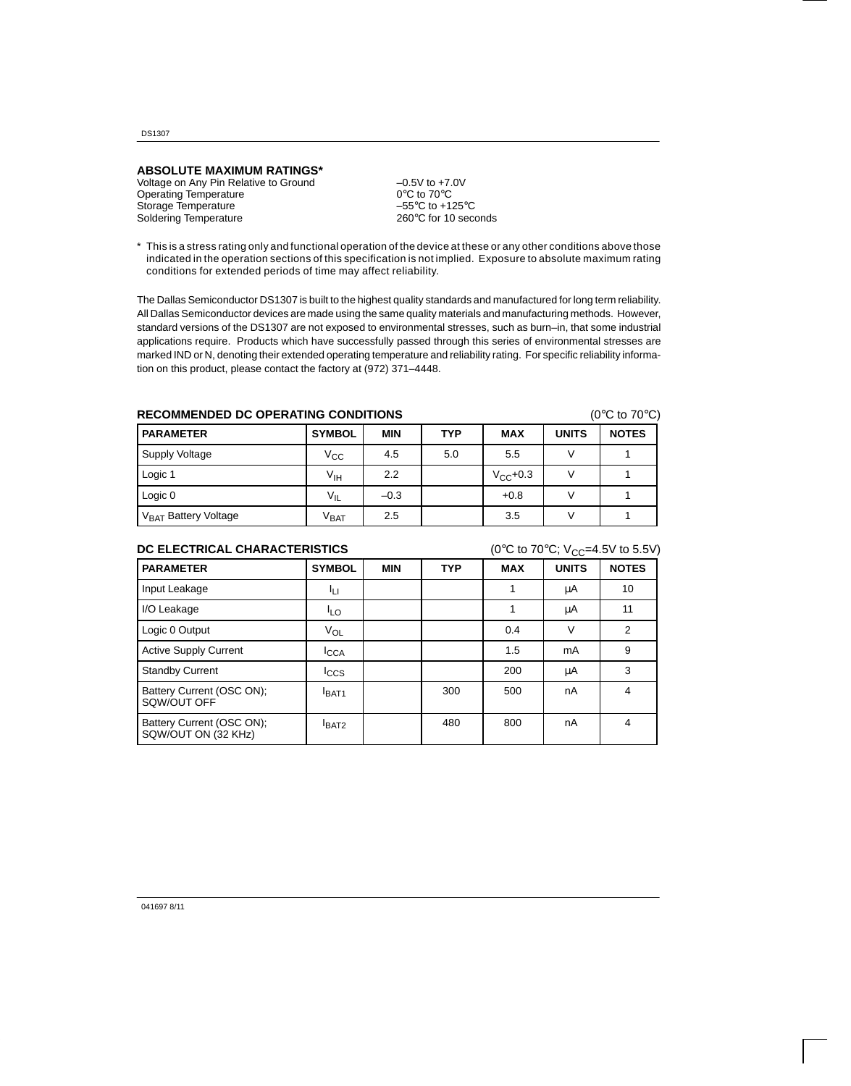DS1307

### **ABSOLUTE MAXIMUM RATINGS\***

Voltage on Any Pin Relative to Ground  $-0.5V$  to +7.0V<br>Operating Temperature  $0^{\circ}$ C to 70°C Operating Temperature 0°C to 70°C<br>Storage Temperature 6 -55°C to +125°C Storage Temperature  $-55^{\circ}$ C to +125°C<br>Soldering Temperature  $260^{\circ}$ C for 10 seconds Soldering Temperature

\* This is a stress rating only and functional operation of the device at these or any other conditions above those indicated in the operation sections of this specification is not implied. Exposure to absolute maximum rating conditions for extended periods of time may affect reliability.

The Dallas Semiconductor DS1307 is built to the highest quality standards and manufactured for long term reliability. All Dallas Semiconductor devices are made using the same quality materials and manufacturing methods. However, standard versions of the DS1307 are not exposed to environmental stresses, such as burn–in, that some industrial applications require. Products which have successfully passed through this series of environmental stresses are marked IND or N, denoting their extended operating temperature and reliability rating. For specific reliability information on this product, please contact the factory at (972) 371–4448.

## **RECOMMENDED DC OPERATING CONDITIONS** (0°C to 70°C)

| <b>PARAMETER</b>                 | <b>SYMBOL</b>    | <b>MIN</b> | <b>TYP</b> | <b>MAX</b>    | <b>UNITS</b> | <b>NOTES</b> |
|----------------------------------|------------------|------------|------------|---------------|--------------|--------------|
| Supply Voltage                   | Vcc              | 4.5        | 5.0        | 5.5           |              |              |
| Logic 1                          | Vıн              | 2.2        |            | $V_{CC}$ +0.3 |              |              |
| Logic 0                          | $V_{IL}$         | $-0.3$     |            | $+0.8$        |              |              |
| V <sub>BAT</sub> Battery Voltage | $V_{\text{BAT}}$ | 2.5        |            | 3.5           |              |              |

## **DC ELECTRICAL CHARACTERISTICS** (0°C to 70°C; V<sub>CC</sub>=4.5V to 5.5V)

|                                                  |                  |            |            |            | ັບ           |                |
|--------------------------------------------------|------------------|------------|------------|------------|--------------|----------------|
| <b>PARAMETER</b>                                 | <b>SYMBOL</b>    | <b>MIN</b> | <b>TYP</b> | <b>MAX</b> | <b>UNITS</b> | <b>NOTES</b>   |
| Input Leakage                                    | Iц               |            |            |            | μA           | 10             |
| I/O Leakage                                      | <sup>I</sup> LO  |            |            |            | μA           | 11             |
| Logic 0 Output                                   | $V_{OL}$         |            |            | 0.4        | $\vee$       | $\overline{2}$ |
| <b>Active Supply Current</b>                     | <b>I</b> CCA     |            |            | 1.5        | mA           | 9              |
| <b>Standby Current</b>                           | <sup>I</sup> ccs |            |            | 200        | μA           | 3              |
| Battery Current (OSC ON);<br>SQW/OUT OFF         | <b>BAT1</b>      |            | 300        | 500        | nA           | 4              |
| Battery Current (OSC ON);<br>SQW/OUT ON (32 KHz) | <b>BAT2</b>      |            | 480        | 800        | nA           | 4              |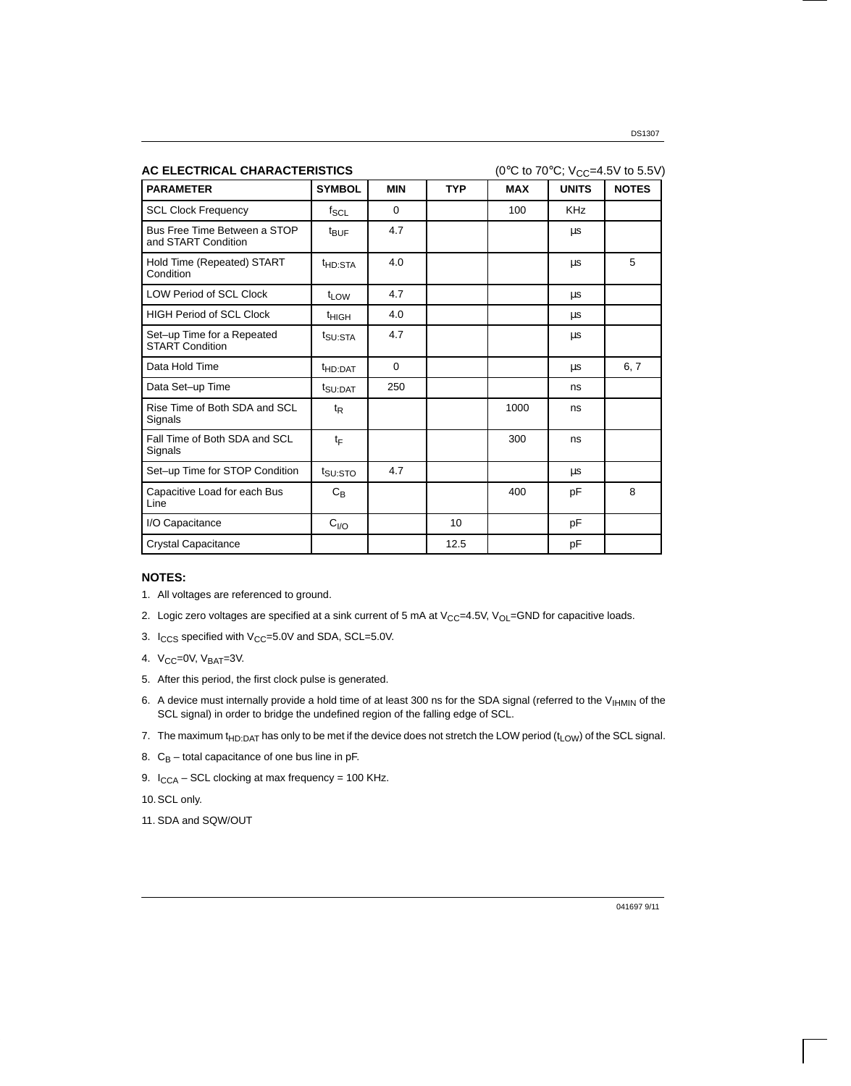| AC ELECTRICAL CHARACTERISTICS                        |                     |            |            |            |              | (0°C to 70°C; V <sub>CC</sub> =4.5V to 5.5V) |
|------------------------------------------------------|---------------------|------------|------------|------------|--------------|----------------------------------------------|
| <b>PARAMETER</b>                                     | <b>SYMBOL</b>       | <b>MIN</b> | <b>TYP</b> | <b>MAX</b> | <b>UNITS</b> | <b>NOTES</b>                                 |
| <b>SCL Clock Frequency</b>                           | $f_{\rm SCL}$       | $\Omega$   |            | 100        | <b>KHz</b>   |                                              |
| Bus Free Time Between a STOP<br>and START Condition  | $t_{\text{BUF}}$    | 4.7        |            |            | μs           |                                              |
| Hold Time (Repeated) START<br>Condition              | t <sub>HD:STA</sub> | 4.0        |            |            | μs           | 5                                            |
| <b>LOW Period of SCL Clock</b>                       | t <sub>LOW</sub>    | 4.7        |            |            | μs           |                                              |
| <b>HIGH Period of SCL Clock</b>                      | <sup>t</sup> HIGH   | 4.0        |            |            | μs           |                                              |
| Set-up Time for a Repeated<br><b>START Condition</b> | t <sub>SU:STA</sub> | 4.7        |            |            | μs           |                                              |
| Data Hold Time                                       | <sup>t</sup> HD:DAT | 0          |            |            | μs           | 6, 7                                         |
| Data Set-up Time                                     | t <sub>SU:DAT</sub> | 250        |            |            | ns           |                                              |
| Rise Time of Both SDA and SCL<br>Signals             | $t_{\mathsf{R}}$    |            |            | 1000       | ns           |                                              |
| Fall Time of Both SDA and SCL<br>Signals             | tF                  |            |            | 300        | ns           |                                              |
| Set-up Time for STOP Condition                       | t <sub>SU:STO</sub> | 4.7        |            |            | μs           |                                              |
| Capacitive Load for each Bus<br>Line                 | $C_B$               |            |            | 400        | pF           | 8                                            |
| I/O Capacitance                                      | $C_{VQ}$            |            | 10         |            | pF           |                                              |
| <b>Crystal Capacitance</b>                           |                     |            | 12.5       |            | pF           |                                              |

#### **NOTES:**

- 1. All voltages are referenced to ground.
- 2. Logic zero voltages are specified at a sink current of 5 mA at  $V_{CC}$ =4.5V,  $V_{OL}$ =GND for capacitive loads.
- 3.  $I_{CCS}$  specified with  $V_{CC}=5.0V$  and SDA, SCL=5.0V.
- 4.  $V_{CC}$ =0V,  $V_{BAT}$ =3V.
- 5. After this period, the first clock pulse is generated.
- 6. A device must internally provide a hold time of at least 300 ns for the SDA signal (referred to the V<sub>IHMIN</sub> of the SCL signal) in order to bridge the undefined region of the falling edge of SCL.
- 7. The maximum  $t_{HD:DATA}$  has only to be met if the device does not stretch the LOW period ( $t_{LOW}$ ) of the SCL signal.
- 8.  $C_B$  total capacitance of one bus line in pF.
- 9.  $I_{CCA}$  SCL clocking at max frequency = 100 KHz.
- 10. SCL only.
- 11. SDA and SQW/OUT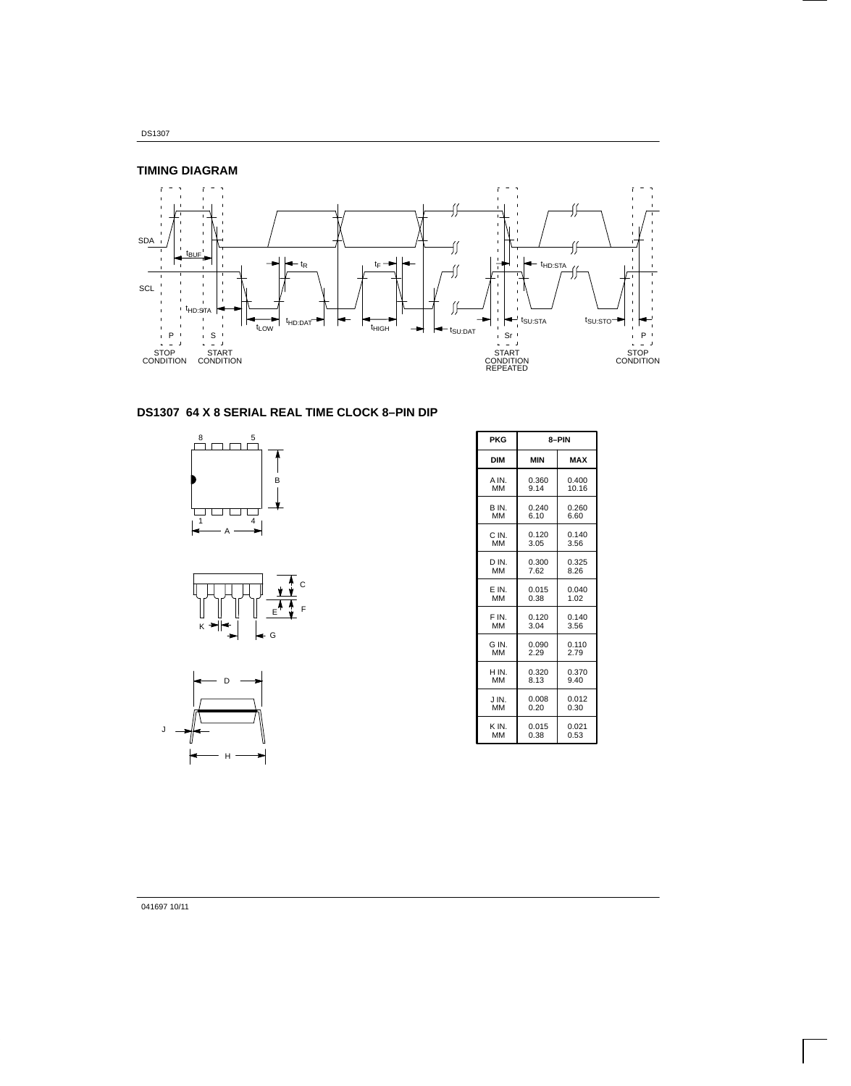DS1307



## **DS1307 64 X 8 SERIAL REAL TIME CLOCK 8–PIN DIP**







| <b>PKG</b> | 8-PIN      |            |  |  |
|------------|------------|------------|--|--|
| <b>DIM</b> | <b>MIN</b> | <b>MAX</b> |  |  |
| A IN.      | 0.360      | 0.400      |  |  |
| MМ         | 9.14       | 10.16      |  |  |
| B IN.      | 0.240      | 0.260      |  |  |
| мм         | 6.10       | 6.60       |  |  |
| C IN.      | 0.120      | 0.140      |  |  |
| <b>MM</b>  | 3.05       | 3.56       |  |  |
| D IN.      | 0.300      | 0.325      |  |  |
| <b>MM</b>  | 7.62       | 8.26       |  |  |
| E IN.      | 0.015      | 0.040      |  |  |
| MМ         | 0.38       | 1.02       |  |  |
| F IN.      | 0.120      | 0.140      |  |  |
| <b>MM</b>  | 3.04       | 3.56       |  |  |
| G IN.      | 0.090      | 0.110      |  |  |
| MM         | 2.29       | 2.79       |  |  |
| H IN.      | 0.320      | 0.370      |  |  |
| MМ         | 8.13       | 9.40       |  |  |
| JIN.       | 0.008      | 0.012      |  |  |
| MM         | 0.20       | 0.30       |  |  |
| K IN.      | 0.015      | 0.021      |  |  |
| MM         | 0.38       | 0.53       |  |  |

### 041697 10/11